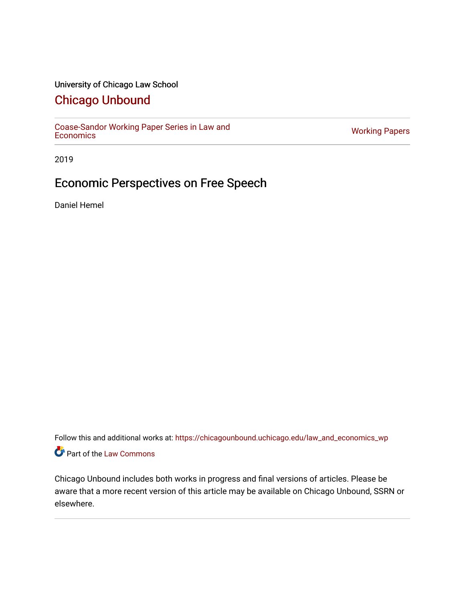# University of Chicago Law School

# [Chicago Unbound](https://chicagounbound.uchicago.edu/)

[Coase-Sandor Working Paper Series in Law and](https://chicagounbound.uchicago.edu/law_and_economics_wp) [Economics](https://chicagounbound.uchicago.edu/law_and_economics_wp) [Working Papers](https://chicagounbound.uchicago.edu/working_papers) 

2019

# Economic Perspectives on Free Speech

Daniel Hemel

Follow this and additional works at: [https://chicagounbound.uchicago.edu/law\\_and\\_economics\\_wp](https://chicagounbound.uchicago.edu/law_and_economics_wp?utm_source=chicagounbound.uchicago.edu%2Flaw_and_economics_wp%2F50&utm_medium=PDF&utm_campaign=PDFCoverPages)  Part of the [Law Commons](http://network.bepress.com/hgg/discipline/578?utm_source=chicagounbound.uchicago.edu%2Flaw_and_economics_wp%2F50&utm_medium=PDF&utm_campaign=PDFCoverPages)

Chicago Unbound includes both works in progress and final versions of articles. Please be aware that a more recent version of this article may be available on Chicago Unbound, SSRN or elsewhere.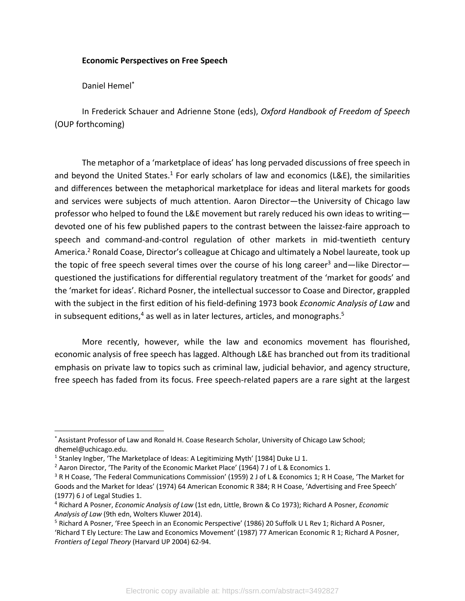#### **Economic Perspectives on Free Speech**

Daniel Hemel\*

In Frederick Schauer and Adrienne Stone (eds), *Oxford Handbook of Freedom of Speech* (OUP forthcoming)

The metaphor of a 'marketplace of ideas' has long pervaded discussions of free speech in and beyond the United States.<sup>1</sup> For early scholars of law and economics (L&E), the similarities and differences between the metaphorical marketplace for ideas and literal markets for goods and services were subjects of much attention. Aaron Director—the University of Chicago law professor who helped to found the L&E movement but rarely reduced his own ideas to writing devoted one of his few published papers to the contrast between the laissez-faire approach to speech and command-and-control regulation of other markets in mid-twentieth century America.<sup>2</sup> Ronald Coase, Director's colleague at Chicago and ultimately a Nobel laureate, took up the topic of free speech several times over the course of his long career<sup>3</sup> and—like Director questioned the justifications for differential regulatory treatment of the 'market for goods' and the 'market for ideas'. Richard Posner, the intellectual successor to Coase and Director, grappled with the subject in the first edition of his field-defining 1973 book *Economic Analysis of Law* and in subsequent editions,<sup>4</sup> as well as in later lectures, articles, and monographs.<sup>5</sup>

More recently, however, while the law and economics movement has flourished, economic analysis of free speech has lagged. Although L&E has branched out from its traditional emphasis on private law to topics such as criminal law, judicial behavior, and agency structure, free speech has faded from its focus. Free speech-related papers are a rare sight at the largest

<sup>\*</sup> Assistant Professor of Law and Ronald H. Coase Research Scholar, University of Chicago Law School; dhemel@uchicago.edu.

<sup>&</sup>lt;sup>1</sup> Stanley Ingber, 'The Marketplace of Ideas: A Legitimizing Myth' [1984] Duke LJ 1.

<sup>&</sup>lt;sup>2</sup> Aaron Director, 'The Parity of the Economic Market Place' (1964) 7 J of L & Economics 1.

<sup>&</sup>lt;sup>3</sup> R H Coase, 'The Federal Communications Commission' (1959) 2 J of L & Economics 1; R H Coase, 'The Market for Goods and the Market for Ideas' (1974) 64 American Economic R 384; R H Coase, 'Advertising and Free Speech' (1977) 6 J of Legal Studies 1.

<sup>4</sup> Richard A Posner, *Economic Analysis of Law* (1st edn, Little, Brown & Co 1973); Richard A Posner, *Economic*  Analysis of Law (9th edn, Wolters Kluwer 2014).<br><sup>5</sup> Richard A Posner, 'Free Speech in an Economic Perspective' (1986) 20 Suffolk U L Rev 1; Richard A Posner,

<sup>&#</sup>x27;Richard T Ely Lecture: The Law and Economics Movement' (1987) 77 American Economic R 1; Richard A Posner, *Frontiers of Legal Theory* (Harvard UP 2004) 62-94.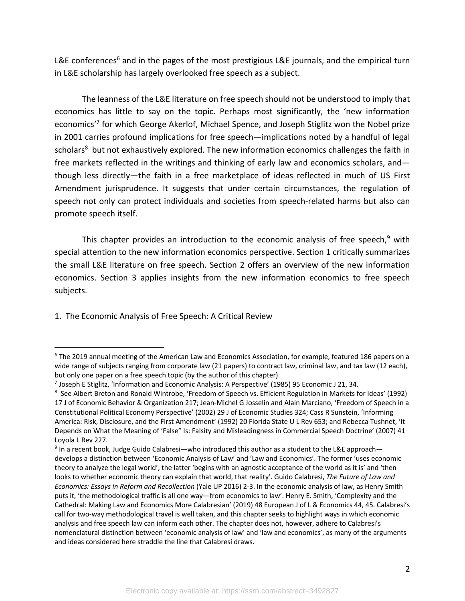L&E conferences<sup>6</sup> and in the pages of the most prestigious L&E journals, and the empirical turn in L&E scholarship has largely overlooked free speech as a subject.

The leanness of the L&E literature on free speech should not be understood to imply that economics has little to say on the topic. Perhaps most significantly, the 'new information economics<sup>'7</sup> for which George Akerlof, Michael Spence, and Joseph Stiglitz won the Nobel prize in 2001 carries profound implications for free speech—implications noted by a handful of legal scholars<sup>8</sup> but not exhaustively explored. The new information economics challenges the faith in free markets reflected in the writings and thinking of early law and economics scholars, and though less directly—the faith in a free marketplace of ideas reflected in much of US First Amendment jurisprudence. It suggests that under certain circumstances, the regulation of speech not only can protect individuals and societies from speech-related harms but also can promote speech itself.

This chapter provides an introduction to the economic analysis of free speech, $9$  with special attention to the new information economics perspective. Section 1 critically summarizes the small L&E literature on free speech. Section 2 offers an overview of the new information economics. Section 3 applies insights from the new information economics to free speech subjects.

1. The Economic Analysis of Free Speech: A Critical Review

<sup>&</sup>lt;sup>6</sup> The 2019 annual meeting of the American Law and Economics Association, for example, featured 186 papers on a wide range of subjects ranging from corporate law (21 papers) to contract law, criminal law, and tax law (12 each), but only one paper on a free speech topic (by the author of this chapter).

<sup>7</sup> Joseph E Stiglitz, 'Information and Economic Analysis: A Perspective' (1985) 95 Economic J 21, 34.

<sup>&</sup>lt;sup>8</sup> See Albert Breton and Ronald Wintrobe, 'Freedom of Speech vs. Efficient Regulation in Markets for Ideas' (1992) 17 J of Economic Behavior & Organization 217; Jean-Michel G Josselin and Alain Marciano, 'Freedom of Speech in a Constitutional Political Economy Perspective' (2002) 29 J of Economic Studies 324; Cass R Sunstein, 'Informing America: Risk, Disclosure, and the First Amendment' (1992) 20 Florida State U L Rev 653; and Rebecca Tushnet, 'It Depends on What the Meaning of 'False" Is: Falsity and Misleadingness in Commercial Speech Doctrine' (2007) 41 Loyola L Rev 227.

<sup>&</sup>lt;sup>9</sup> In a recent book, Judge Guido Calabresi—who introduced this author as a student to the L&E approach develops a distinction between 'Economic Analysis of Law' and 'Law and Economics'. The former 'uses economic theory to analyze the legal world'; the latter 'begins with an agnostic acceptance of the world as it is' and 'then looks to whether economic theory can explain that world, that reality'. Guido Calabresi, *The Future of Law and Economics: Essays in Reform and Recollection* (Yale UP 2016) 2-3. In the economic analysis of law, as Henry Smith puts it, 'the methodological traffic is all one way—from economics to law'. Henry E. Smith, 'Complexity and the Cathedral: Making Law and Economics More Calabresian' (2019) 48 European J of L & Economics 44, 45. Calabresi's call for two-way methodological travel is well taken, and this chapter seeks to highlight ways in which economic analysis and free speech law can inform each other. The chapter does not, however, adhere to Calabresi's nomenclatural distinction between 'economic analysis of law' and 'law and economics', as many of the arguments and ideas considered here straddle the line that Calabresi draws.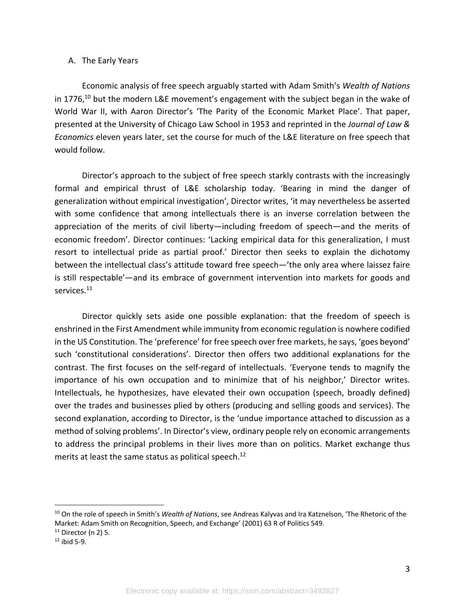#### A. The Early Years

Economic analysis of free speech arguably started with Adam Smith's *Wealth of Nations*  in 1776,<sup>10</sup> but the modern L&E movement's engagement with the subject began in the wake of World War II, with Aaron Director's 'The Parity of the Economic Market Place'. That paper, presented at the University of Chicago Law School in 1953 and reprinted in the *Journal of Law & Economics* eleven years later, set the course for much of the L&E literature on free speech that would follow.

Director's approach to the subject of free speech starkly contrasts with the increasingly formal and empirical thrust of L&E scholarship today. 'Bearing in mind the danger of generalization without empirical investigation', Director writes, 'it may nevertheless be asserted with some confidence that among intellectuals there is an inverse correlation between the appreciation of the merits of civil liberty—including freedom of speech—and the merits of economic freedom'. Director continues: 'Lacking empirical data for this generalization, I must resort to intellectual pride as partial proof.' Director then seeks to explain the dichotomy between the intellectual class's attitude toward free speech—'the only area where laissez faire is still respectable'—and its embrace of government intervention into markets for goods and services.<sup>11</sup>

Director quickly sets aside one possible explanation: that the freedom of speech is enshrined in the First Amendment while immunity from economic regulation is nowhere codified in the US Constitution. The 'preference' for free speech over free markets, he says, 'goes beyond' such 'constitutional considerations'. Director then offers two additional explanations for the contrast. The first focuses on the self-regard of intellectuals. 'Everyone tends to magnify the importance of his own occupation and to minimize that of his neighbor,' Director writes. Intellectuals, he hypothesizes, have elevated their own occupation (speech, broadly defined) over the trades and businesses plied by others (producing and selling goods and services). The second explanation, according to Director, is the 'undue importance attached to discussion as a method of solving problems'. In Director's view, ordinary people rely on economic arrangements to address the principal problems in their lives more than on politics. Market exchange thus merits at least the same status as political speech. $^{12}$ 

<sup>10</sup> On the role of speech in Smith's *Wealth of Nations*, see Andreas Kalyvas and Ira Katznelson, 'The Rhetoric of the Market: Adam Smith on Recognition, Speech, and Exchange' (2001) 63 R of Politics 549.

 $11$  Director (n 2) 5.

 $12$  ibid 5-9.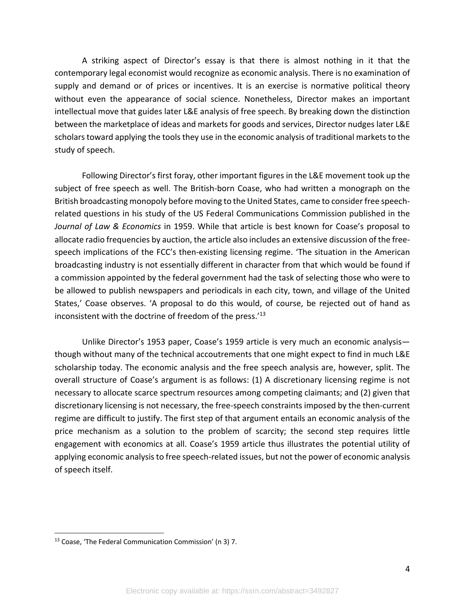A striking aspect of Director's essay is that there is almost nothing in it that the contemporary legal economist would recognize as economic analysis. There is no examination of supply and demand or of prices or incentives. It is an exercise is normative political theory without even the appearance of social science. Nonetheless, Director makes an important intellectual move that guides later L&E analysis of free speech. By breaking down the distinction between the marketplace of ideas and markets for goods and services, Director nudges later L&E scholars toward applying the tools they use in the economic analysis of traditional markets to the study of speech.

Following Director's first foray, other important figures in the L&E movement took up the subject of free speech as well. The British-born Coase, who had written a monograph on the British broadcasting monopoly before moving to the United States, came to consider free speechrelated questions in his study of the US Federal Communications Commission published in the *Journal of Law & Economics* in 1959. While that article is best known for Coase's proposal to allocate radio frequencies by auction, the article also includes an extensive discussion of the freespeech implications of the FCC's then-existing licensing regime. 'The situation in the American broadcasting industry is not essentially different in character from that which would be found if a commission appointed by the federal government had the task of selecting those who were to be allowed to publish newspapers and periodicals in each city, town, and village of the United States,' Coase observes. 'A proposal to do this would, of course, be rejected out of hand as inconsistent with the doctrine of freedom of the press.' 13

Unlike Director's 1953 paper, Coase's 1959 article is very much an economic analysis though without many of the technical accoutrements that one might expect to find in much L&E scholarship today. The economic analysis and the free speech analysis are, however, split. The overall structure of Coase's argument is as follows: (1) A discretionary licensing regime is not necessary to allocate scarce spectrum resources among competing claimants; and (2) given that discretionary licensing is not necessary, the free-speech constraints imposed by the then-current regime are difficult to justify. The first step of that argument entails an economic analysis of the price mechanism as a solution to the problem of scarcity; the second step requires little engagement with economics at all. Coase's 1959 article thus illustrates the potential utility of applying economic analysis to free speech-related issues, but not the power of economic analysis of speech itself.

<sup>13</sup> Coase, 'The Federal Communication Commission' (n 3) 7.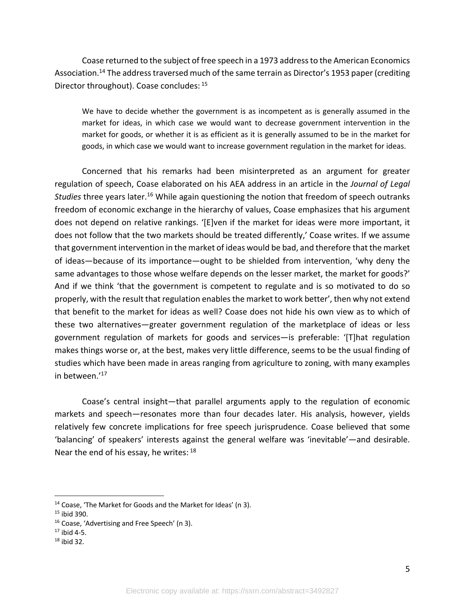Coase returned to the subject of free speech in a 1973 address to the American Economics Association.<sup>14</sup> The address traversed much of the same terrain as Director's 1953 paper (crediting Director throughout). Coase concludes: <sup>15</sup>

We have to decide whether the government is as incompetent as is generally assumed in the market for ideas, in which case we would want to decrease government intervention in the market for goods, or whether it is as efficient as it is generally assumed to be in the market for goods, in which case we would want to increase government regulation in the market for ideas.

Concerned that his remarks had been misinterpreted as an argument for greater regulation of speech, Coase elaborated on his AEA address in an article in the *Journal of Legal Studies* three years later.16 While again questioning the notion that freedom of speech outranks freedom of economic exchange in the hierarchy of values, Coase emphasizes that his argument does not depend on relative rankings. '[E]ven if the market for ideas were more important, it does not follow that the two markets should be treated differently,' Coase writes. If we assume that government intervention in the market of ideas would be bad, and therefore that the market of ideas—because of its importance—ought to be shielded from intervention, 'why deny the same advantages to those whose welfare depends on the lesser market, the market for goods?' And if we think 'that the government is competent to regulate and is so motivated to do so properly, with the result that regulation enables the market to work better', then why not extend that benefit to the market for ideas as well? Coase does not hide his own view as to which of these two alternatives—greater government regulation of the marketplace of ideas or less government regulation of markets for goods and services—is preferable: '[T]hat regulation makes things worse or, at the best, makes very little difference, seems to be the usual finding of studies which have been made in areas ranging from agriculture to zoning, with many examples in between.' 17

Coase's central insight—that parallel arguments apply to the regulation of economic markets and speech—resonates more than four decades later. His analysis, however, yields relatively few concrete implications for free speech jurisprudence. Coase believed that some 'balancing' of speakers' interests against the general welfare was 'inevitable'—and desirable. Near the end of his essay, he writes:  $18$ 

<sup>&</sup>lt;sup>14</sup> Coase, 'The Market for Goods and the Market for Ideas' (n 3).

<sup>15</sup> ibid 390.

<sup>&</sup>lt;sup>16</sup> Coase, 'Advertising and Free Speech' (n 3).

 $17$  ibid 4-5.

 $18$  ibid 32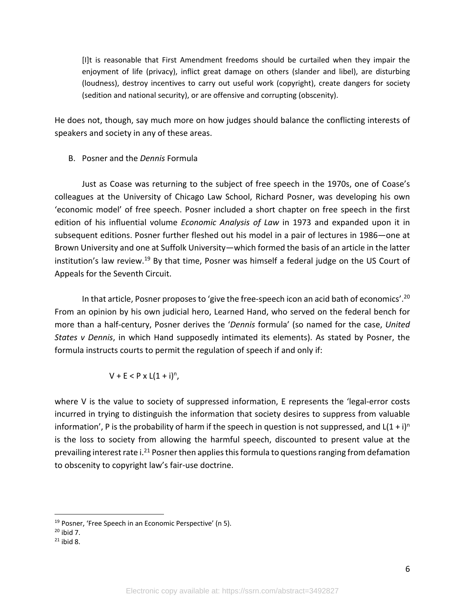[I]t is reasonable that First Amendment freedoms should be curtailed when they impair the enjoyment of life (privacy), inflict great damage on others (slander and libel), are disturbing (loudness), destroy incentives to carry out useful work (copyright), create dangers for society (sedition and national security), or are offensive and corrupting (obscenity).

He does not, though, say much more on how judges should balance the conflicting interests of speakers and society in any of these areas.

B. Posner and the *Dennis* Formula

Just as Coase was returning to the subject of free speech in the 1970s, one of Coase's colleagues at the University of Chicago Law School, Richard Posner, was developing his own 'economic model' of free speech. Posner included a short chapter on free speech in the first edition of his influential volume *Economic Analysis of Law* in 1973 and expanded upon it in subsequent editions. Posner further fleshed out his model in a pair of lectures in 1986—one at Brown University and one at Suffolk University—which formed the basis of an article in the latter institution's law review.<sup>19</sup> By that time, Posner was himself a federal judge on the US Court of Appeals for the Seventh Circuit.

In that article, Posner proposes to 'give the free-speech icon an acid bath of economics'.<sup>20</sup> From an opinion by his own judicial hero, Learned Hand, who served on the federal bench for more than a half-century, Posner derives the '*Dennis* formula' (so named for the case, *United States v Dennis*, in which Hand supposedly intimated its elements). As stated by Posner, the formula instructs courts to permit the regulation of speech if and only if:

$$
V + E < P \times L(1 + i)^n
$$

where V is the value to society of suppressed information, E represents the 'legal-error costs incurred in trying to distinguish the information that society desires to suppress from valuable information', P is the probability of harm if the speech in question is not suppressed, and  $L(1 + i)^n$ is the loss to society from allowing the harmful speech, discounted to present value at the prevailing interest rate i.<sup>21</sup> Posner then applies this formula to questions ranging from defamation to obscenity to copyright law's fair-use doctrine.

 $21$  ibid  $8$ 

<sup>&</sup>lt;sup>19</sup> Posner, 'Free Speech in an Economic Perspective' (n 5).

 $20$  ibid 7.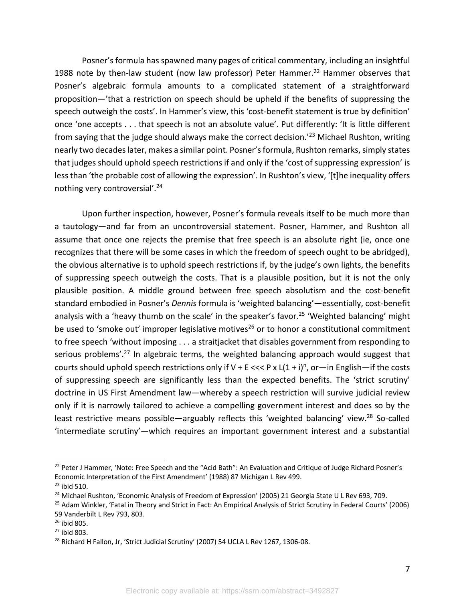Posner's formula has spawned many pages of critical commentary, including an insightful 1988 note by then-law student (now law professor) Peter Hammer.<sup>22</sup> Hammer observes that Posner's algebraic formula amounts to a complicated statement of a straightforward proposition—'that a restriction on speech should be upheld if the benefits of suppressing the speech outweigh the costs'. In Hammer's view, this 'cost-benefit statement is true by definition' once 'one accepts . . . that speech is not an absolute value'. Put differently: 'It is little different from saying that the judge should always make the correct decision.<sup>'23</sup> Michael Rushton, writing nearly two decades later, makes a similar point. Posner's formula, Rushton remarks, simply states that judges should uphold speech restrictions if and only if the 'cost of suppressing expression' is less than 'the probable cost of allowing the expression'. In Rushton's view, '[t]he inequality offers nothing very controversial'.<sup>24</sup>

Upon further inspection, however, Posner's formula reveals itself to be much more than a tautology—and far from an uncontroversial statement. Posner, Hammer, and Rushton all assume that once one rejects the premise that free speech is an absolute right (ie, once one recognizes that there will be some cases in which the freedom of speech ought to be abridged), the obvious alternative is to uphold speech restrictions if, by the judge's own lights, the benefits of suppressing speech outweigh the costs. That is a plausible position, but it is not the only plausible position. A middle ground between free speech absolutism and the cost-benefit standard embodied in Posner's *Dennis* formula is 'weighted balancing'—essentially, cost-benefit analysis with a 'heavy thumb on the scale' in the speaker's favor.<sup>25</sup> 'Weighted balancing' might be used to 'smoke out' improper legislative motives<sup>26</sup> or to honor a constitutional commitment to free speech 'without imposing . . . a straitjacket that disables government from responding to serious problems'.<sup>27</sup> In algebraic terms, the weighted balancing approach would suggest that courts should uphold speech restrictions only if  $V + E \ll P$  x  $L(1 + i)^n$ , or —in English—if the costs of suppressing speech are significantly less than the expected benefits. The 'strict scrutiny' doctrine in US First Amendment law—whereby a speech restriction will survive judicial review only if it is narrowly tailored to achieve a compelling government interest and does so by the least restrictive means possible—arguably reflects this 'weighted balancing' view.<sup>28</sup> So-called 'intermediate scrutiny'—which requires an important government interest and a substantial

<sup>&</sup>lt;sup>22</sup> Peter J Hammer, 'Note: Free Speech and the "Acid Bath": An Evaluation and Critique of Judge Richard Posner's Economic Interpretation of the First Amendment' (1988) 87 Michigan L Rev 499.

 $23$  ibid 510.

<sup>&</sup>lt;sup>24</sup> Michael Rushton, 'Economic Analysis of Freedom of Expression' (2005) 21 Georgia State U L Rev 693, 709.

<sup>&</sup>lt;sup>25</sup> Adam Winkler, 'Fatal in Theory and Strict in Fact: An Empirical Analysis of Strict Scrutiny in Federal Courts' (2006) 59 Vanderbilt L Rev 793, 803.

 $26$  ibid 805.

<sup>27</sup> ibid 803.

<sup>&</sup>lt;sup>28</sup> Richard H Fallon, Jr, 'Strict Judicial Scrutiny' (2007) 54 UCLA L Rev 1267, 1306-08.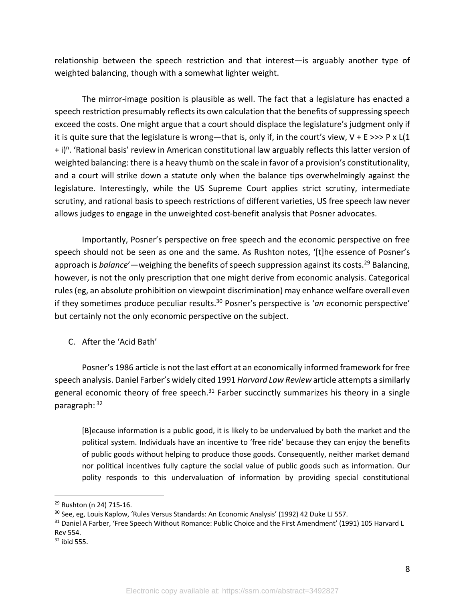relationship between the speech restriction and that interest—is arguably another type of weighted balancing, though with a somewhat lighter weight.

The mirror-image position is plausible as well. The fact that a legislature has enacted a speech restriction presumably reflects its own calculation that the benefits of suppressing speech exceed the costs. One might argue that a court should displace the legislature's judgment only if it is quite sure that the legislature is wrong—that is, only if, in the court's view,  $V + E \gg P$  x L(1 + i)<sup>n</sup>. 'Rational basis' review in American constitutional law arguably reflects this latter version of weighted balancing: there is a heavy thumb on the scale in favor of a provision's constitutionality, and a court will strike down a statute only when the balance tips overwhelmingly against the legislature. Interestingly, while the US Supreme Court applies strict scrutiny, intermediate scrutiny, and rational basis to speech restrictions of different varieties, US free speech law never allows judges to engage in the unweighted cost-benefit analysis that Posner advocates.

Importantly, Posner's perspective on free speech and the economic perspective on free speech should not be seen as one and the same. As Rushton notes, '[t]he essence of Posner's approach is *balance*'—weighing the benefits of speech suppression against its costs. <sup>29</sup> Balancing, however, is not the only prescription that one might derive from economic analysis. Categorical rules (eg, an absolute prohibition on viewpoint discrimination) may enhance welfare overall even if they sometimes produce peculiar results.<sup>30</sup> Posner's perspective is 'an economic perspective' but certainly not the only economic perspective on the subject.

C. After the 'Acid Bath'

Posner's 1986 article is not the last effort at an economically informed framework for free speech analysis. Daniel Farber's widely cited 1991 *Harvard Law Review* article attempts a similarly general economic theory of free speech.<sup>31</sup> Farber succinctly summarizes his theory in a single paragraph: <sup>32</sup>

[B]ecause information is a public good, it is likely to be undervalued by both the market and the political system. Individuals have an incentive to 'free ride' because they can enjoy the benefits of public goods without helping to produce those goods. Consequently, neither market demand nor political incentives fully capture the social value of public goods such as information. Our polity responds to this undervaluation of information by providing special constitutional

 $32$  ibid 555.

<sup>&</sup>lt;sup>29</sup> Rushton (n 24) 715-16.

<sup>&</sup>lt;sup>30</sup> See, eg, Louis Kaplow, 'Rules Versus Standards: An Economic Analysis' (1992) 42 Duke LJ 557.

<sup>&</sup>lt;sup>31</sup> Daniel A Farber, 'Free Speech Without Romance: Public Choice and the First Amendment' (1991) 105 Harvard L Rev 554.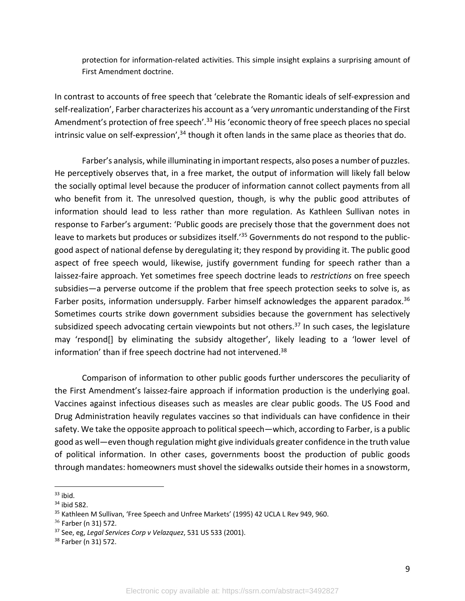protection for information-related activities. This simple insight explains a surprising amount of First Amendment doctrine.

In contrast to accounts of free speech that 'celebrate the Romantic ideals of self-expression and self-realization', Farber characterizes his account as a 'very *un*romantic understanding of the First Amendment's protection of free speech'.<sup>33</sup> His 'economic theory of free speech places no special intrinsic value on self-expression', $34$  though it often lands in the same place as theories that do.

Farber's analysis, while illuminating in important respects, also poses a number of puzzles. He perceptively observes that, in a free market, the output of information will likely fall below the socially optimal level because the producer of information cannot collect payments from all who benefit from it. The unresolved question, though, is why the public good attributes of information should lead to less rather than more regulation. As Kathleen Sullivan notes in response to Farber's argument: 'Public goods are precisely those that the government does not leave to markets but produces or subsidizes itself.<sup>135</sup> Governments do not respond to the publicgood aspect of national defense by deregulating it; they respond by providing it. The public good aspect of free speech would, likewise, justify government funding for speech rather than a laissez-faire approach. Yet sometimes free speech doctrine leads to *restrictions* on free speech subsidies—a perverse outcome if the problem that free speech protection seeks to solve is, as Farber posits, information undersupply. Farber himself acknowledges the apparent paradox.<sup>36</sup> Sometimes courts strike down government subsidies because the government has selectively subsidized speech advocating certain viewpoints but not others.<sup>37</sup> In such cases, the legislature may 'respond[] by eliminating the subsidy altogether', likely leading to a 'lower level of information' than if free speech doctrine had not intervened.<sup>38</sup>

Comparison of information to other public goods further underscores the peculiarity of the First Amendment's laissez-faire approach if information production is the underlying goal. Vaccines against infectious diseases such as measles are clear public goods. The US Food and Drug Administration heavily regulates vaccines so that individuals can have confidence in their safety. We take the opposite approach to political speech—which, according to Farber, is a public good as well—even though regulation might give individuals greater confidence in the truth value of political information. In other cases, governments boost the production of public goods through mandates: homeowners must shovel the sidewalks outside their homes in a snowstorm,

 $33$  ibid.

<sup>34</sup> ibid 582.

<sup>&</sup>lt;sup>35</sup> Kathleen M Sullivan, 'Free Speech and Unfree Markets' (1995) 42 UCLA L Rev 949, 960.

 $36$  Farber (n 31) 572.

<sup>37</sup> See, eg, *Legal Services Corp v Velazquez*, 531 US 533 (2001).

<sup>38</sup> Farber (n 31) 572.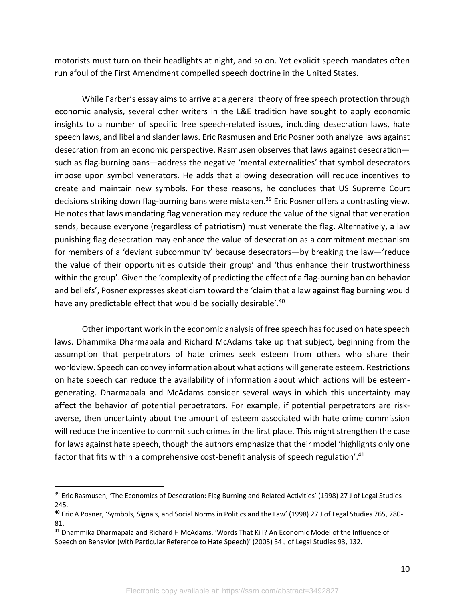motorists must turn on their headlights at night, and so on. Yet explicit speech mandates often run afoul of the First Amendment compelled speech doctrine in the United States.

While Farber's essay aims to arrive at a general theory of free speech protection through economic analysis, several other writers in the L&E tradition have sought to apply economic insights to a number of specific free speech-related issues, including desecration laws, hate speech laws, and libel and slander laws. Eric Rasmusen and Eric Posner both analyze laws against desecration from an economic perspective. Rasmusen observes that laws against desecration such as flag-burning bans—address the negative 'mental externalities' that symbol desecrators impose upon symbol venerators. He adds that allowing desecration will reduce incentives to create and maintain new symbols. For these reasons, he concludes that US Supreme Court decisions striking down flag-burning bans were mistaken.<sup>39</sup> Eric Posner offers a contrasting view. He notes that laws mandating flag veneration may reduce the value of the signal that veneration sends, because everyone (regardless of patriotism) must venerate the flag. Alternatively, a law punishing flag desecration may enhance the value of desecration as a commitment mechanism for members of a 'deviant subcommunity' because desecrators—by breaking the law—'reduce the value of their opportunities outside their group' and 'thus enhance their trustworthiness within the group'. Given the 'complexity of predicting the effect of a flag-burning ban on behavior and beliefs', Posner expresses skepticism toward the 'claim that a law against flag burning would have any predictable effect that would be socially desirable'.<sup>40</sup>

Other important work in the economic analysis of free speech has focused on hate speech laws. Dhammika Dharmapala and Richard McAdams take up that subject, beginning from the assumption that perpetrators of hate crimes seek esteem from others who share their worldview. Speech can convey information about what actions will generate esteem. Restrictions on hate speech can reduce the availability of information about which actions will be esteemgenerating. Dharmapala and McAdams consider several ways in which this uncertainty may affect the behavior of potential perpetrators. For example, if potential perpetrators are riskaverse, then uncertainty about the amount of esteem associated with hate crime commission will reduce the incentive to commit such crimes in the first place. This might strengthen the case for laws against hate speech, though the authors emphasize that their model 'highlights only one factor that fits within a comprehensive cost-benefit analysis of speech regulation'.<sup>41</sup>

<sup>&</sup>lt;sup>39</sup> Eric Rasmusen, 'The Economics of Desecration: Flag Burning and Related Activities' (1998) 27 J of Legal Studies 245.

<sup>&</sup>lt;sup>40</sup> Eric A Posner, 'Symbols, Signals, and Social Norms in Politics and the Law' (1998) 27 J of Legal Studies 765, 780-81.

<sup>41</sup> Dhammika Dharmapala and Richard H McAdams, 'Words That Kill? An Economic Model of the Influence of Speech on Behavior (with Particular Reference to Hate Speech)' (2005) 34 J of Legal Studies 93, 132.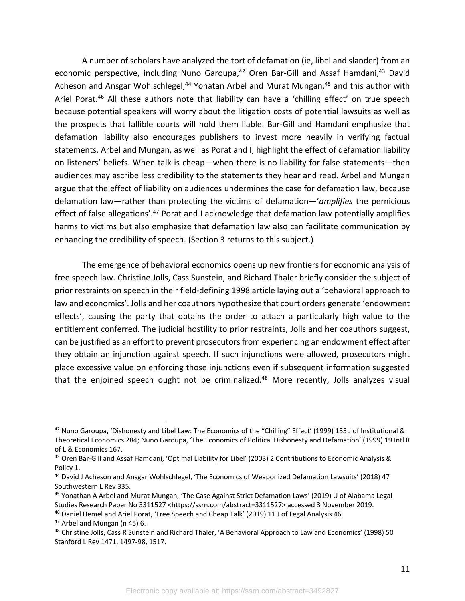A number of scholars have analyzed the tort of defamation (ie, libel and slander) from an economic perspective, including Nuno Garoupa,<sup>42</sup> Oren Bar-Gill and Assaf Hamdani,<sup>43</sup> David Acheson and Ansgar Wohlschlegel,<sup>44</sup> Yonatan Arbel and Murat Mungan,<sup>45</sup> and this author with Ariel Porat.<sup>46</sup> All these authors note that liability can have a 'chilling effect' on true speech because potential speakers will worry about the litigation costs of potential lawsuits as well as the prospects that fallible courts will hold them liable. Bar-Gill and Hamdani emphasize that defamation liability also encourages publishers to invest more heavily in verifying factual statements. Arbel and Mungan, as well as Porat and I, highlight the effect of defamation liability on listeners' beliefs. When talk is cheap—when there is no liability for false statements—then audiences may ascribe less credibility to the statements they hear and read. Arbel and Mungan argue that the effect of liability on audiences undermines the case for defamation law, because defamation law—rather than protecting the victims of defamation—'*amplifies* the pernicious effect of false allegations'.<sup>47</sup> Porat and I acknowledge that defamation law potentially amplifies harms to victims but also emphasize that defamation law also can facilitate communication by enhancing the credibility of speech. (Section 3 returns to this subject.)

The emergence of behavioral economics opens up new frontiers for economic analysis of free speech law. Christine Jolls, Cass Sunstein, and Richard Thaler briefly consider the subject of prior restraints on speech in their field-defining 1998 article laying out a 'behavioral approach to law and economics'. Jolls and her coauthors hypothesize that court orders generate 'endowment effects', causing the party that obtains the order to attach a particularly high value to the entitlement conferred. The judicial hostility to prior restraints, Jolls and her coauthors suggest, can be justified as an effort to prevent prosecutors from experiencing an endowment effect after they obtain an injunction against speech. If such injunctions were allowed, prosecutors might place excessive value on enforcing those injunctions even if subsequent information suggested that the enjoined speech ought not be criminalized.<sup>48</sup> More recently, Jolls analyzes visual

<sup>&</sup>lt;sup>42</sup> Nuno Garoupa, 'Dishonesty and Libel Law: The Economics of the "Chilling" Effect' (1999) 155 J of Institutional & Theoretical Economics 284; Nuno Garoupa, 'The Economics of Political Dishonesty and Defamation' (1999) 19 Intl R of L & Economics 167.

<sup>&</sup>lt;sup>43</sup> Oren Bar-Gill and Assaf Hamdani, 'Optimal Liability for Libel' (2003) 2 Contributions to Economic Analysis & Policy 1.

<sup>44</sup> David J Acheson and Ansgar Wohlschlegel, 'The Economics of Weaponized Defamation Lawsuits' (2018) 47 Southwestern L Rev 335.

<sup>45</sup> Yonathan A Arbel and Murat Mungan, 'The Case Against Strict Defamation Laws' (2019) U of Alabama Legal Studies Research Paper No 3311527 <https://ssrn.com/abstract=3311527> accessed 3 November 2019.

<sup>46</sup> Daniel Hemel and Ariel Porat, 'Free Speech and Cheap Talk' (2019) 11 J of Legal Analysis 46.

<sup>47</sup> Arbel and Mungan (n 45) 6.

<sup>48</sup> Christine Jolls, Cass R Sunstein and Richard Thaler, 'A Behavioral Approach to Law and Economics' (1998) 50 Stanford L Rev 1471, 1497-98, 1517.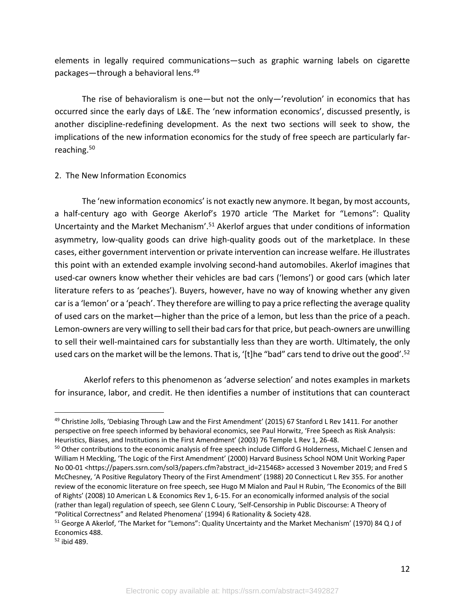elements in legally required communications—such as graphic warning labels on cigarette packages—through a behavioral lens.49

The rise of behavioralism is one—but not the only—'revolution' in economics that has occurred since the early days of L&E. The 'new information economics', discussed presently, is another discipline-redefining development. As the next two sections will seek to show, the implications of the new information economics for the study of free speech are particularly farreaching.<sup>50</sup>

### 2. The New Information Economics

The 'new information economics' is not exactly new anymore. It began, by most accounts, a half-century ago with George Akerlof's 1970 article 'The Market for "Lemons": Quality Uncertainty and the Market Mechanism'.<sup>51</sup> Akerlof argues that under conditions of information asymmetry, low-quality goods can drive high-quality goods out of the marketplace. In these cases, either government intervention or private intervention can increase welfare. He illustrates this point with an extended example involving second-hand automobiles. Akerlof imagines that used-car owners know whether their vehicles are bad cars ('lemons') or good cars (which later literature refers to as 'peaches'). Buyers, however, have no way of knowing whether any given car is a 'lemon' or a 'peach'. They therefore are willing to pay a price reflecting the average quality of used cars on the market—higher than the price of a lemon, but less than the price of a peach. Lemon-owners are very willing to sell their bad cars for that price, but peach-owners are unwilling to sell their well-maintained cars for substantially less than they are worth. Ultimately, the only used cars on the market will be the lemons. That is, '[t]he "bad" cars tend to drive out the good'.<sup>52</sup>

Akerlof refers to this phenomenon as 'adverse selection' and notes examples in markets for insurance, labor, and credit. He then identifies a number of institutions that can counteract

<sup>&</sup>lt;sup>49</sup> Christine Jolls, 'Debiasing Through Law and the First Amendment' (2015) 67 Stanford L Rev 1411. For another perspective on free speech informed by behavioral economics, see Paul Horwitz, 'Free Speech as Risk Analysis: Heuristics, Biases, and Institutions in the First Amendment' (2003) 76 Temple L Rev 1, 26-48.

<sup>&</sup>lt;sup>50</sup> Other contributions to the economic analysis of free speech include Clifford G Holderness, Michael C Jensen and William H Meckling, 'The Logic of the First Amendment' (2000) Harvard Business School NOM Unit Working Paper No 00-01 <https://papers.ssrn.com/sol3/papers.cfm?abstract\_id=215468> accessed 3 November 2019; and Fred S McChesney, 'A Positive Regulatory Theory of the First Amendment' (1988) 20 Connecticut L Rev 355. For another review of the economic literature on free speech, see Hugo M Mialon and Paul H Rubin, 'The Economics of the Bill of Rights' (2008) 10 American L & Economics Rev 1, 6-15. For an economically informed analysis of the social (rather than legal) regulation of speech, see Glenn C Loury, 'Self-Censorship in Public Discourse: A Theory of "Political Correctness" and Related Phenomena' (1994) 6 Rationality & Society 428.

<sup>51</sup> George A Akerlof, 'The Market for "Lemons": Quality Uncertainty and the Market Mechanism' (1970) 84 Q J of Economics 488.

<sup>52</sup> ibid 489.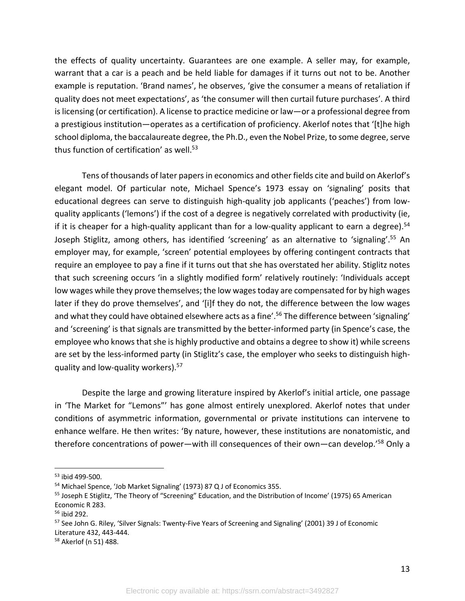the effects of quality uncertainty. Guarantees are one example. A seller may, for example, warrant that a car is a peach and be held liable for damages if it turns out not to be. Another example is reputation. 'Brand names', he observes, 'give the consumer a means of retaliation if quality does not meet expectations', as 'the consumer will then curtail future purchases'. A third is licensing (or certification). A license to practice medicine or law—or a professional degree from a prestigious institution—operates as a certification of proficiency. Akerlof notes that '[t]he high school diploma, the baccalaureate degree, the Ph.D., even the Nobel Prize, to some degree, serve thus function of certification' as well.<sup>53</sup>

Tens of thousands of later papers in economics and other fields cite and build on Akerlof's elegant model. Of particular note, Michael Spence's 1973 essay on 'signaling' posits that educational degrees can serve to distinguish high-quality job applicants ('peaches') from lowquality applicants ('lemons') if the cost of a degree is negatively correlated with productivity (ie, if it is cheaper for a high-quality applicant than for a low-quality applicant to earn a degree).<sup>54</sup> Joseph Stiglitz, among others, has identified 'screening' as an alternative to 'signaling'. <sup>55</sup> An employer may, for example, 'screen' potential employees by offering contingent contracts that require an employee to pay a fine if it turns out that she has overstated her ability. Stiglitz notes that such screening occurs 'in a slightly modified form' relatively routinely: 'Individuals accept low wages while they prove themselves; the low wages today are compensated for by high wages later if they do prove themselves', and '[i]f they do not, the difference between the low wages and what they could have obtained elsewhere acts as a fine'. <sup>56</sup> The difference between 'signaling' and 'screening' is that signals are transmitted by the better-informed party (in Spence's case, the employee who knows that she is highly productive and obtains a degree to show it) while screens are set by the less-informed party (in Stiglitz's case, the employer who seeks to distinguish highquality and low-quality workers).<sup>57</sup>

Despite the large and growing literature inspired by Akerlof's initial article, one passage in 'The Market for "Lemons"' has gone almost entirely unexplored. Akerlof notes that under conditions of asymmetric information, governmental or private institutions can intervene to enhance welfare. He then writes: 'By nature, however, these institutions are nonatomistic, and therefore concentrations of power—with ill consequences of their own—can develop.'<sup>58</sup> Only a

<sup>53</sup> ibid 499-500.

<sup>&</sup>lt;sup>54</sup> Michael Spence, 'Job Market Signaling' (1973) 87 Q J of Economics 355.

<sup>&</sup>lt;sup>55</sup> Joseph E Stiglitz, 'The Theory of "Screening" Education, and the Distribution of Income' (1975) 65 American Economic R 283.

<sup>56</sup> ibid 292.

<sup>&</sup>lt;sup>57</sup> See John G. Riley, 'Silver Signals: Twenty-Five Years of Screening and Signaling' (2001) 39 J of Economic Literature 432, 443-444.

<sup>58</sup> Akerlof (n 51) 488.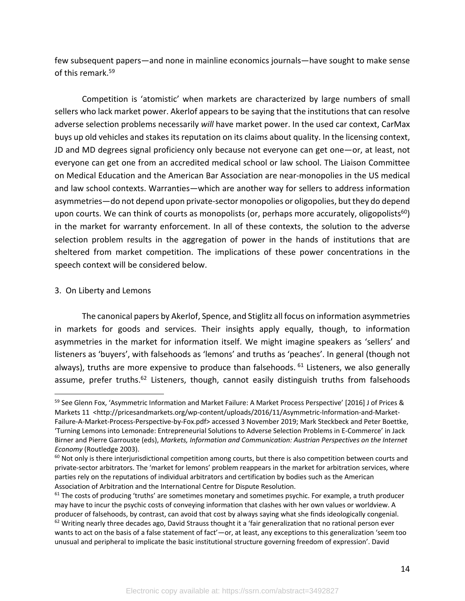few subsequent papers—and none in mainline economics journals—have sought to make sense of this remark. 59

Competition is 'atomistic' when markets are characterized by large numbers of small sellers who lack market power. Akerlof appears to be saying that the institutions that can resolve adverse selection problems necessarily *will* have market power. In the used car context, CarMax buys up old vehicles and stakes its reputation on its claims about quality. In the licensing context, JD and MD degrees signal proficiency only because not everyone can get one—or, at least, not everyone can get one from an accredited medical school or law school. The Liaison Committee on Medical Education and the American Bar Association are near-monopolies in the US medical and law school contexts. Warranties—which are another way for sellers to address information asymmetries—do not depend upon private-sector monopolies or oligopolies, but they do depend upon courts. We can think of courts as monopolists (or, perhaps more accurately, oligopolists<sup>60</sup>) in the market for warranty enforcement. In all of these contexts, the solution to the adverse selection problem results in the aggregation of power in the hands of institutions that are sheltered from market competition. The implications of these power concentrations in the speech context will be considered below.

### 3. On Liberty and Lemons

The canonical papers by Akerlof, Spence, and Stiglitz all focus on information asymmetries in markets for goods and services. Their insights apply equally, though, to information asymmetries in the market for information itself. We might imagine speakers as 'sellers' and listeners as 'buyers', with falsehoods as 'lemons' and truths as 'peaches'. In general (though not always), truths are more expensive to produce than falsehoods.  $61$  Listeners, we also generally assume, prefer truths.<sup>62</sup> Listeners, though, cannot easily distinguish truths from falsehoods

<sup>59</sup> See Glenn Fox, 'Asymmetric Information and Market Failure: A Market Process Perspective' [2016] J of Prices & Markets 11 <http://pricesandmarkets.org/wp-content/uploads/2016/11/Asymmetric-Information-and-Market-Failure-A-Market-Process-Perspective-by-Fox.pdf> accessed 3 November 2019; Mark Steckbeck and Peter Boettke, 'Turning Lemons into Lemonade: Entrepreneurial Solutions to Adverse Selection Problems in E-Commerce' in Jack Birner and Pierre Garrouste (eds), *Markets, Information and Communication: Austrian Perspectives on the Internet Economy* (Routledge 2003).

 $60$  Not only is there interjurisdictional competition among courts, but there is also competition between courts and private-sector arbitrators. The 'market for lemons' problem reappears in the market for arbitration services, where parties rely on the reputations of individual arbitrators and certification by bodies such as the American Association of Arbitration and the International Centre for Dispute Resolution.

 $61$  The costs of producing 'truths' are sometimes monetary and sometimes psychic. For example, a truth producer may have to incur the psychic costs of conveying information that clashes with her own values or worldview. A producer of falsehoods, by contrast, can avoid that cost by always saying what she finds ideologically congenial.  $62$  Writing nearly three decades ago, David Strauss thought it a 'fair generalization that no rational person ever wants to act on the basis of a false statement of fact'-or, at least, any exceptions to this generalization 'seem too unusual and peripheral to implicate the basic institutional structure governing freedom of expression'. David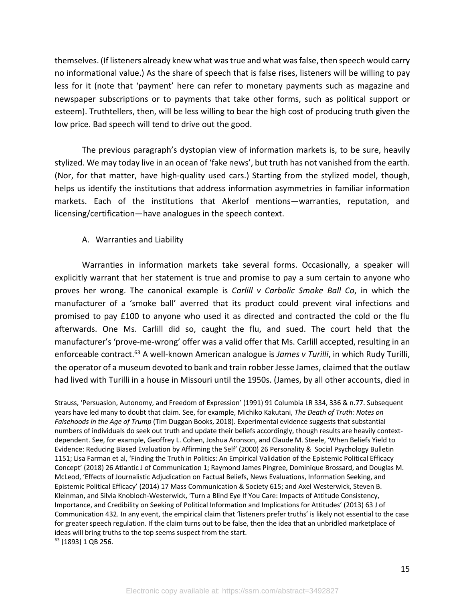themselves. (If listeners already knew what was true and what was false, then speech would carry no informational value.) As the share of speech that is false rises, listeners will be willing to pay less for it (note that 'payment' here can refer to monetary payments such as magazine and newspaper subscriptions or to payments that take other forms, such as political support or esteem). Truthtellers, then, will be less willing to bear the high cost of producing truth given the low price. Bad speech will tend to drive out the good.

The previous paragraph's dystopian view of information markets is, to be sure, heavily stylized. We may today live in an ocean of 'fake news', but truth has not vanished from the earth. (Nor, for that matter, have high-quality used cars.) Starting from the stylized model, though, helps us identify the institutions that address information asymmetries in familiar information markets. Each of the institutions that Akerlof mentions—warranties, reputation, and licensing/certification—have analogues in the speech context.

## A. Warranties and Liability

Warranties in information markets take several forms. Occasionally, a speaker will explicitly warrant that her statement is true and promise to pay a sum certain to anyone who proves her wrong. The canonical example is *Carlill v Carbolic Smoke Ball Co*, in which the manufacturer of a 'smoke ball' averred that its product could prevent viral infections and promised to pay £100 to anyone who used it as directed and contracted the cold or the flu afterwards. One Ms. Carlill did so, caught the flu, and sued. The court held that the manufacturer's 'prove-me-wrong' offer was a valid offer that Ms. Carlill accepted, resulting in an enforceable contract.63 A well-known American analogue is *James v Turilli*, in which Rudy Turilli, the operator of a museum devoted to bank and train robber Jesse James, claimed that the outlaw had lived with Turilli in a house in Missouri until the 1950s. (James, by all other accounts, died in

Strauss, 'Persuasion, Autonomy, and Freedom of Expression' (1991) 91 Columbia LR 334, 336 & n.77. Subsequent years have led many to doubt that claim. See, for example, Michiko Kakutani, *The Death of Truth: Notes on Falsehoods in the Age of Trump* (Tim Duggan Books, 2018). Experimental evidence suggests that substantial numbers of individuals do seek out truth and update their beliefs accordingly, though results are heavily contextdependent. See, for example, Geoffrey L. Cohen, Joshua Aronson, and Claude M. Steele, 'When Beliefs Yield to Evidence: Reducing Biased Evaluation by Affirming the Self' (2000) 26 Personality & Social Psychology Bulletin 1151; Lisa Farman et al, 'Finding the Truth in Politics: An Empirical Validation of the Epistemic Political Efficacy Concept' (2018) 26 Atlantic J of Communication 1; Raymond James Pingree, Dominique Brossard, and Douglas M. McLeod, 'Effects of Journalistic Adjudication on Factual Beliefs, News Evaluations, Information Seeking, and Epistemic Political Efficacy' (2014) 17 Mass Communication & Society 615; and Axel Westerwick, Steven B. Kleinman, and Silvia Knobloch-Westerwick, 'Turn a Blind Eye If You Care: Impacts of Attitude Consistency, Importance, and Credibility on Seeking of Political Information and Implications for Attitudes' (2013) 63 J of Communication 432. In any event, the empirical claim that 'listeners prefer truths' is likely not essential to the case for greater speech regulation. If the claim turns out to be false, then the idea that an unbridled marketplace of ideas will bring truths to the top seems suspect from the start. <sup>63</sup> [1893] 1 QB 256.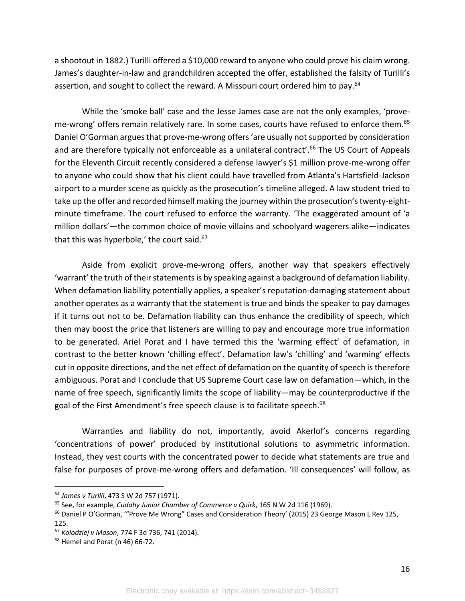a shootout in 1882.) Turilli offered a \$10,000 reward to anyone who could prove his claim wrong. James's daughter-in-law and grandchildren accepted the offer, established the falsity of Turilli's assertion, and sought to collect the reward. A Missouri court ordered him to pay.<sup>64</sup>

While the 'smoke ball' case and the Jesse James case are not the only examples, 'proveme-wrong' offers remain relatively rare. In some cases, courts have refused to enforce them.<sup>65</sup> Daniel O'Gorman argues that prove-me-wrong offers 'are usually not supported by consideration and are therefore typically not enforceable as a unilateral contract'.<sup>66</sup> The US Court of Appeals for the Eleventh Circuit recently considered a defense lawyer's \$1 million prove-me-wrong offer to anyone who could show that his client could have travelled from Atlanta's Hartsfield-Jackson airport to a murder scene as quickly as the prosecution's timeline alleged. A law student tried to take up the offer and recorded himself making the journey within the prosecution'stwenty-eightminute timeframe. The court refused to enforce the warranty. 'The exaggerated amount of 'a million dollars'—the common choice of movie villains and schoolyard wagerers alike—indicates that this was hyperbole,' the court said. $67$ 

Aside from explicit prove-me-wrong offers, another way that speakers effectively 'warrant' the truth of their statements is by speaking against a background of defamation liability. When defamation liability potentially applies, a speaker's reputation-damaging statement about another operates as a warranty that the statement is true and binds the speaker to pay damages if it turns out not to be. Defamation liability can thus enhance the credibility of speech, which then may boost the price that listeners are willing to pay and encourage more true information to be generated. Ariel Porat and I have termed this the 'warming effect' of defamation, in contrast to the better known 'chilling effect'. Defamation law's 'chilling' and 'warming' effects cut in opposite directions, and the net effect of defamation on the quantity of speech is therefore ambiguous. Porat and I conclude that US Supreme Court case law on defamation—which, in the name of free speech, significantly limits the scope of liability—may be counterproductive if the goal of the First Amendment's free speech clause is to facilitate speech.<sup>68</sup>

Warranties and liability do not, importantly, avoid Akerlof's concerns regarding 'concentrations of power' produced by institutional solutions to asymmetric information. Instead, they vest courts with the concentrated power to decide what statements are true and false for purposes of prove-me-wrong offers and defamation. 'Ill consequences' will follow, as

<sup>64</sup> *James v Turilli*, 473 S W 2d 757 (1971).

<sup>65</sup> See, for example, *Cudahy Junior Chamber of Commerce v Quirk*, 165 N W 2d 116 (1969).

<sup>&</sup>lt;sup>66</sup> Daniel P O'Gorman, "'Prove Me Wrong" Cases and Consideration Theory' (2015) 23 George Mason L Rev 125, 125.

<sup>67</sup> *Kolodziej v Mason*, 774 F 3d 736, 741 (2014).

<sup>68</sup> Hemel and Porat (n 46) 66-72.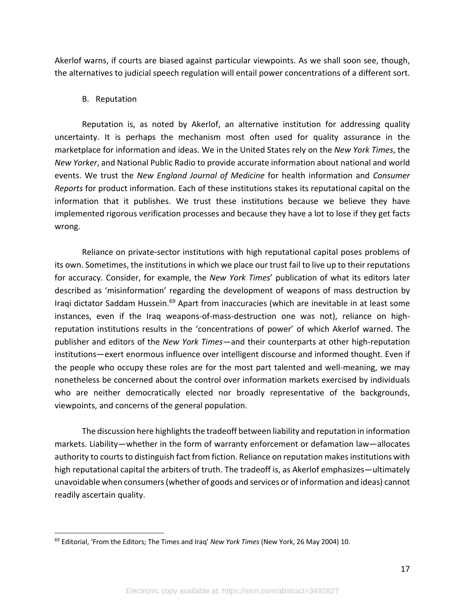Akerlof warns, if courts are biased against particular viewpoints. As we shall soon see, though, the alternatives to judicial speech regulation will entail power concentrations of a different sort.

# B. Reputation

Reputation is, as noted by Akerlof, an alternative institution for addressing quality uncertainty. It is perhaps the mechanism most often used for quality assurance in the marketplace for information and ideas. We in the United States rely on the *New York Times*, the *New Yorker*, and National Public Radio to provide accurate information about national and world events. We trust the *New England Journal of Medicine* for health information and *Consumer Reports* for product information. Each of these institutions stakes its reputational capital on the information that it publishes. We trust these institutions because we believe they have implemented rigorous verification processes and because they have a lot to lose if they get facts wrong.

Reliance on private-sector institutions with high reputational capital poses problems of its own. Sometimes, the institutions in which we place our trust fail to live up to their reputations for accuracy. Consider, for example, the *New York Times*' publication of what its editors later described as 'misinformation' regarding the development of weapons of mass destruction by Iraqi dictator Saddam Hussein.69 Apart from inaccuracies (which are inevitable in at least some instances, even if the Iraq weapons-of-mass-destruction one was not), reliance on highreputation institutions results in the 'concentrations of power' of which Akerlof warned. The publisher and editors of the *New York Times*—and their counterparts at other high-reputation institutions—exert enormous influence over intelligent discourse and informed thought. Even if the people who occupy these roles are for the most part talented and well-meaning, we may nonetheless be concerned about the control over information markets exercised by individuals who are neither democratically elected nor broadly representative of the backgrounds, viewpoints, and concerns of the general population.

The discussion here highlights the tradeoff between liability and reputation in information markets. Liability—whether in the form of warranty enforcement or defamation law—allocates authority to courts to distinguish fact from fiction. Reliance on reputation makes institutions with high reputational capital the arbiters of truth. The tradeoff is, as Akerlof emphasizes—ultimately unavoidable when consumers (whether of goods and services or of information and ideas) cannot readily ascertain quality.

<sup>69</sup> Editorial, 'From the Editors; The Times and Iraq' *New York Times* (New York, 26 May 2004) 10.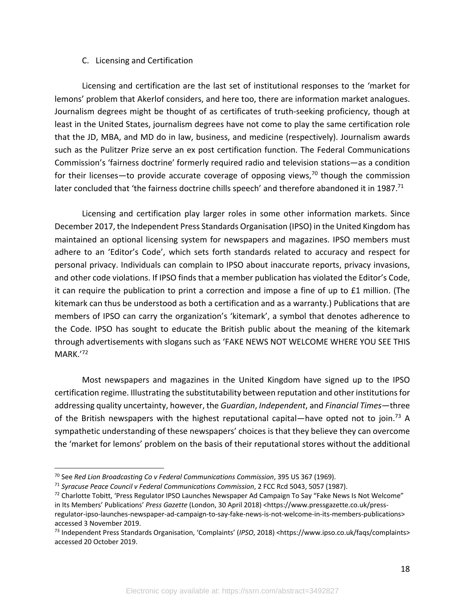### C. Licensing and Certification

Licensing and certification are the last set of institutional responses to the 'market for lemons' problem that Akerlof considers, and here too, there are information market analogues. Journalism degrees might be thought of as certificates of truth-seeking proficiency, though at least in the United States, journalism degrees have not come to play the same certification role that the JD, MBA, and MD do in law, business, and medicine (respectively). Journalism awards such as the Pulitzer Prize serve an ex post certification function. The Federal Communications Commission's 'fairness doctrine' formerly required radio and television stations—as a condition for their licenses—to provide accurate coverage of opposing views, $70$  though the commission later concluded that 'the fairness doctrine chills speech' and therefore abandoned it in 1987.<sup>71</sup>

Licensing and certification play larger roles in some other information markets. Since December 2017, the Independent Press Standards Organisation (IPSO) in the United Kingdom has maintained an optional licensing system for newspapers and magazines. IPSO members must adhere to an 'Editor's Code', which sets forth standards related to accuracy and respect for personal privacy. Individuals can complain to IPSO about inaccurate reports, privacy invasions, and other code violations. If IPSO finds that a member publication has violated the Editor's Code, it can require the publication to print a correction and impose a fine of up to £1 million. (The kitemark can thus be understood as both a certification and as a warranty.) Publications that are members of IPSO can carry the organization's 'kitemark', a symbol that denotes adherence to the Code. IPSO has sought to educate the British public about the meaning of the kitemark through advertisements with slogans such as 'FAKE NEWS NOT WELCOME WHERE YOU SEE THIS MARK.' 72

Most newspapers and magazines in the United Kingdom have signed up to the IPSO certification regime. Illustrating the substitutability between reputation and other institutions for addressing quality uncertainty, however, the *Guardian*, *Independent*, and *Financial Times*—three of the British newspapers with the highest reputational capital—have opted not to join.<sup>73</sup> A sympathetic understanding of these newspapers' choices is that they believe they can overcome the 'market for lemons' problem on the basis of their reputational stores without the additional

<sup>70</sup> See *Red Lion Broadcasting Co v Federal Communications Commission*, 395 US 367 (1969).

<sup>71</sup> *Syracuse Peace Council v Federal Communications Commission*, 2 FCC Rcd 5043, 5057 (1987).

<sup>72</sup> Charlotte Tobitt, 'Press Regulator IPSO Launches Newspaper Ad Campaign To Say "Fake News Is Not Welcome" in Its Members' Publications' *Press Gazette* (London, 30 April 2018) <https://www.pressgazette.co.uk/pressregulator-ipso-launches-newspaper-ad-campaign-to-say-fake-news-is-not-welcome-in-its-members-publications> accessed 3 November 2019.

<sup>73</sup> Independent Press Standards Organisation, 'Complaints' (*IPSO*, 2018) <https://www.ipso.co.uk/faqs/complaints> accessed 20 October 2019.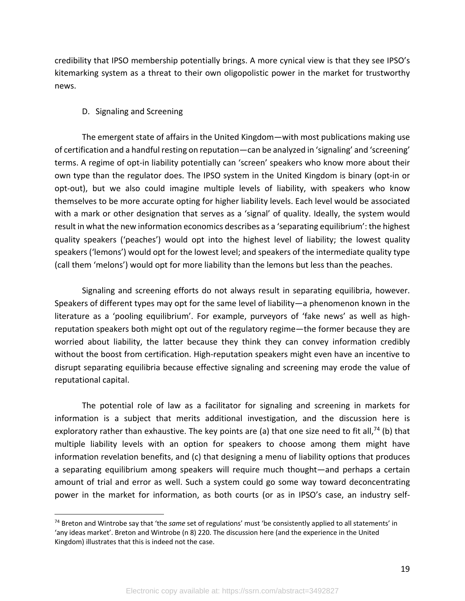credibility that IPSO membership potentially brings. A more cynical view is that they see IPSO's kitemarking system as a threat to their own oligopolistic power in the market for trustworthy news.

## D. Signaling and Screening

The emergent state of affairs in the United Kingdom—with most publications making use of certification and a handful resting on reputation—can be analyzed in 'signaling' and 'screening' terms. A regime of opt-in liability potentially can 'screen' speakers who know more about their own type than the regulator does. The IPSO system in the United Kingdom is binary (opt-in or opt-out), but we also could imagine multiple levels of liability, with speakers who know themselves to be more accurate opting for higher liability levels. Each level would be associated with a mark or other designation that serves as a 'signal' of quality. Ideally, the system would result in what the new information economics describes as a 'separating equilibrium': the highest quality speakers ('peaches') would opt into the highest level of liability; the lowest quality speakers ('lemons') would opt for the lowest level; and speakers of the intermediate quality type (call them 'melons') would opt for more liability than the lemons but less than the peaches.

Signaling and screening efforts do not always result in separating equilibria, however. Speakers of different types may opt for the same level of liability—a phenomenon known in the literature as a 'pooling equilibrium'. For example, purveyors of 'fake news' as well as highreputation speakers both might opt out of the regulatory regime—the former because they are worried about liability, the latter because they think they can convey information credibly without the boost from certification. High-reputation speakers might even have an incentive to disrupt separating equilibria because effective signaling and screening may erode the value of reputational capital.

The potential role of law as a facilitator for signaling and screening in markets for information is a subject that merits additional investigation, and the discussion here is exploratory rather than exhaustive. The key points are (a) that one size need to fit all,<sup>74</sup> (b) that multiple liability levels with an option for speakers to choose among them might have information revelation benefits, and (c) that designing a menu of liability options that produces a separating equilibrium among speakers will require much thought—and perhaps a certain amount of trial and error as well. Such a system could go some way toward deconcentrating power in the market for information, as both courts (or as in IPSO's case, an industry self-

<sup>74</sup> Breton and Wintrobe say that 'the *same* set of regulations' must 'be consistently applied to all statements' in 'any ideas market'. Breton and Wintrobe (n 8) 220. The discussion here (and the experience in the United Kingdom) illustrates that this is indeed not the case.